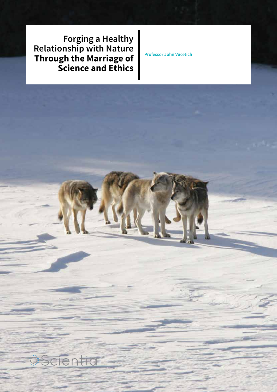**Forging a Healthy Relationship with Nature Through the Marriage of Science and Ethics**

**Professor John Vucetich**

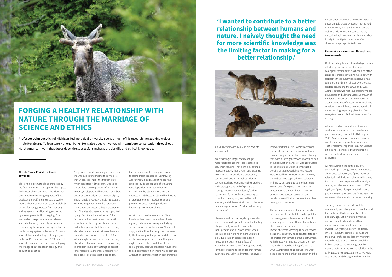### **The Isle Royale Project – a Source of Wonder**

Isle Royale is a remote island protected by the frigid waters of Lake Superior, the largest freshwater lake in the world. The island has been inhabited by a single species of large predator, the wolf, and their sole prey, the moose. That predator-prey system is globally distinct for being protected from hunting and persecution and for being supported by a forest protected from logging. The wolf and moose populations have been studied intensively for nearly six decades, representing the longest running study of any predator-prey system in the world. Professor Vucetich has been leading that project, with Professor Rolf Peterson, since 2000. Much of Vucetich's work has focussed on developing knowledge about predation ecology and population genetics.

A keystone for understanding predation, on the whole, is to understand the dynamics that underlie kill rate – the frequency at which predators kill their prey. Ever since the predator-prey equations of Lotka and Volterra, ecologists had believed that kill rate depends essentially on the number of prey. The rationale is robustly simple – predators kill more frequently when their prey are more abundant because they are easier to find. The idea also seemed to be supported by significant empirical evidence. Other factors – such as weather and the health of individuals in the prey population – were certainly important, but the essence is prey abundance. An alternative idea of heretical proportion was introduced in the 1990s: kill rate might depend not so much on prey abundance, but more so on the ratio of prey to predator. The idea was tough to accept for several critical theoretical reasons (for example, if kill rates are ratio dependent,

Vucetich also used observations of Isle Royale wolves to resolve another kill rate mystery. Behavioural ecologists studying social carnivores – wolves, lions, African wild dogs, and the like – had long been perplexed by the tendency for the per capita kill rate to decline as group size increases. That pattern ought to lead to the dissolution of larger social groups, because predators would tend to do better foraging on their own, or perhaps with just one partner. Vucetich demonstrated



## **FORGING A HEALTHY RELATIONSHIP WITH NATURE THROUGH THE MARRIAGE OF SCIENCE AND ETHICS**

**Professor John Vucetich** of Michigan Technological University spends much of his research life studying wolves in Isle Royale and Yellowstone National Parks. He is also deeply involved with carnivore conservation throughout North America – work that depends on the successful synthesis of scientific and ethical knowledge.

> then predators are less likely, in theory, to create trophic cascades). Controversy was further fuelled by a relative dearth of empirical evidence capable of evaluating ratio dependency. Vucetich showed that kill rates by Isle Royale wolves are unquestionably better explained by the ratio of predator to prey. That demonstration paved the way to ratio-dependency becoming a conventional idea.

in a 2004 *Animal Behaviour* article and later summarised:

'Wolves living in larger packs each get more food because they lose less food to scavenging ravens. They do this by eating a moose so quickly that ravens have less time to scavenge. The details are fantastically complicated, and while wolves in larger packs must share food among their brothers and sisters, parents and offspring, that sharing is not so costly as losing food to scavengers. So ravens have something to do with explaining why wolves live such intensely social lives—a trait that is otherwise rare among carnivores. What an astonishing connection.'

Observations from Isle Royale by Vucetich's team have also deepened our understanding of a potentially valuable conservation tool – genetic rescue, which occurs when the introduction of one or more unrelated individuals into an inbred population mitigates the detrimental effects of inbreeding. In 1997, a wolf immigrated to Isle Royale by crossing an ice bridge that formed during an unusually cold winter. The severely

inbred condition of Isle Royale wolves and the beneficial effect of the immigrant were revealed by genetic analyses demonstrating that, within three generations, more than half of the population's ancestry was attributable to the immigrant. But the demographic benefits of that powerful genetic rescue were muted by the moose population (i.e., the wolves' food supply) having collapsed in the previous year due to another severe winter. One of the general lessons of this genetic rescue event is that in a stressful environment, genetic rescue can be beneficial even if it does not result in a clear demographic response.

That genetic rescue event also reversed a decades' long belief that the wolf population had been genetically isolated and free of inbreeding depression. Those observations also revealed an unexpected adverse impact of climate warming. In past decades, occasional gene flow had been facilitated by ice bridges that formed during most winters. With climate warming, ice bridges are now rare and will soon be a thing of the past. By 2016, inbreeding had brought the wolf population to the brink of extinction and the

moose population was showing early signs of unsustainable growth. Vucetich highlighted, in a 2016 essay in *Natural History*, how the wolves of Isle Royale represent a major, unresolved policy concern for knowing when it is right to mitigate the adverse effects of climate change in protected areas.

### **Complexities revealed only through longterm research**

Understanding the extent to which predators affect prey and subsequently shape ecological communities has been one of the great, perennial motivations in ecology. With respect to those dynamics, Isle Royale has exhibited four distinct phases over the past six decades. During the 1960s and 1970s, wolf predation was high, suppressing moose abundance and allowing vigorous growth of the forest. To have such a clear impression after two decades of observation would lend considerable confidence to one's perceived understanding, especially given that few ecosystems are studied as intensively or for as long.

What can undermine such confidence is continued observation. That two-decade pattern abruptly reversed itself during the 1980s. Wolf predation plummeted, moose erupted and forest growth was impaired. That reversal was reported in a 1994 Science article and is considered the first trophic cascade to be documented in a terrestrial ecosystem.

Without warning, the pattern quickly switched again during the mid-1990s. Moose abundance collapsed, wolf predation was reignited, and the forest rebounded in a way that had not been experienced for nearly a century. Another reversal occurred in 2009. Again, wolf predation plummeted, moose populations erupted, and the forest began to endure another round of increased browsing.

These dynamics are not adequately explained by predator-prey cycles of the kind that Lotka and Volterra described almost a century ago. Lotka-Volterra dynamics are, for example, characterised by an impressively consistent tempo – like the inviolable 10-year cycle of lynx and hare. On Isle Royale, the tempo is irregular and the abrupt shifts are sparked by inherently unpredictable events. The first switch from high to low predation was triggered by a disease that struck the wolf population in the early 1980s (the disease, canine parvo virus, was inadvertently brought to the island by

**'I wanted to contribute to a better relationship between humans and nature. I naively thought the need for more scientific knowledge was the limiting factor in making for a better relationship.'**